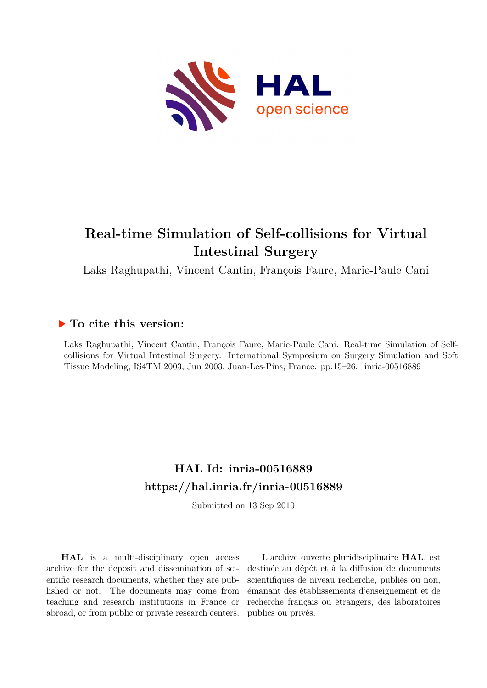

# **Real-time Simulation of Self-collisions for Virtual Intestinal Surgery**

Laks Raghupathi, Vincent Cantin, François Faure, Marie-Paule Cani

## **To cite this version:**

Laks Raghupathi, Vincent Cantin, François Faure, Marie-Paule Cani. Real-time Simulation of Selfcollisions for Virtual Intestinal Surgery. International Symposium on Surgery Simulation and Soft Tissue Modeling, IS4TM 2003, Jun 2003, Juan-Les-Pins, France. pp.15–26. inria-00516889

# **HAL Id: inria-00516889 <https://hal.inria.fr/inria-00516889>**

Submitted on 13 Sep 2010

**HAL** is a multi-disciplinary open access archive for the deposit and dissemination of scientific research documents, whether they are published or not. The documents may come from teaching and research institutions in France or abroad, or from public or private research centers.

L'archive ouverte pluridisciplinaire **HAL**, est destinée au dépôt et à la diffusion de documents scientifiques de niveau recherche, publiés ou non, émanant des établissements d'enseignement et de recherche français ou étrangers, des laboratoires publics ou privés.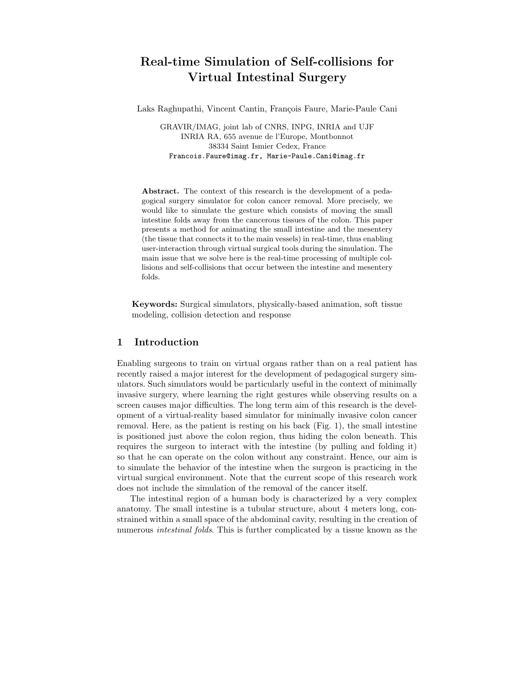## Real-time Simulation of Self-collisions for Virtual Intestinal Surgery

Laks Raghupathi, Vincent Cantin, François Faure, Marie-Paule Cani

GRAVIR/IMAG, joint lab of CNRS, INPG, INRIA and UJF INRIA RA, 655 avenue de l'Europe, Montbonnot 38334 Saint Ismier Cedex, France Francois.Faure@imag.fr, Marie-Paule.Cani@imag.fr

Abstract. The context of this research is the development of a pedagogical surgery simulator for colon cancer removal. More precisely, we would like to simulate the gesture which consists of moving the small intestine folds away from the cancerous tissues of the colon. This paper presents a method for animating the small intestine and the mesentery (the tissue that connects it to the main vessels) in real-time, thus enabling user-interaction through virtual surgical tools during the simulation. The main issue that we solve here is the real-time processing of multiple collisions and self-collisions that occur between the intestine and mesentery folds.

Keywords: Surgical simulators, physically-based animation, soft tissue modeling, collision detection and response

## 1 Introduction

Enabling surgeons to train on virtual organs rather than on a real patient has recently raised a major interest for the development of pedagogical surgery simulators. Such simulators would be particularly useful in the context of minimally invasive surgery, where learning the right gestures while observing results on a screen causes major difficulties. The long term aim of this research is the development of a virtual-reality based simulator for minimally invasive colon cancer removal. Here, as the patient is resting on his back (Fig. 1), the small intestine is positioned just above the colon region, thus hiding the colon beneath. This requires the surgeon to interact with the intestine (by pulling and folding it) so that he can operate on the colon without any constraint. Hence, our aim is to simulate the behavior of the intestine when the surgeon is practicing in the virtual surgical environment. Note that the current scope of this research work does not include the simulation of the removal of the cancer itself.

The intestinal region of a human body is characterized by a very complex anatomy. The small intestine is a tubular structure, about 4 meters long, constrained within a small space of the abdominal cavity, resulting in the creation of numerous intestinal folds. This is further complicated by a tissue known as the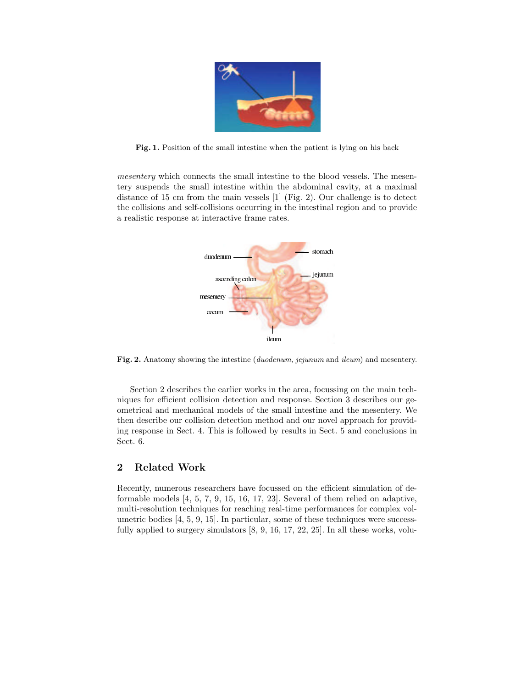

Fig. 1. Position of the small intestine when the patient is lying on his back

mesentery which connects the small intestine to the blood vessels. The mesentery suspends the small intestine within the abdominal cavity, at a maximal distance of 15 cm from the main vessels [1] (Fig. 2). Our challenge is to detect the collisions and self-collisions occurring in the intestinal region and to provide a realistic response at interactive frame rates.



Fig. 2. Anatomy showing the intestine (*duodenum*, *jejunum* and *ileum*) and mesentery.

Section 2 describes the earlier works in the area, focussing on the main techniques for efficient collision detection and response. Section 3 describes our geometrical and mechanical models of the small intestine and the mesentery. We then describe our collision detection method and our novel approach for providing response in Sect. 4. This is followed by results in Sect. 5 and conclusions in Sect. 6.

## 2 Related Work

Recently, numerous researchers have focussed on the efficient simulation of deformable models [4, 5, 7, 9, 15, 16, 17, 23]. Several of them relied on adaptive, multi-resolution techniques for reaching real-time performances for complex volumetric bodies [4, 5, 9, 15]. In particular, some of these techniques were successfully applied to surgery simulators [8, 9, 16, 17, 22, 25]. In all these works, volu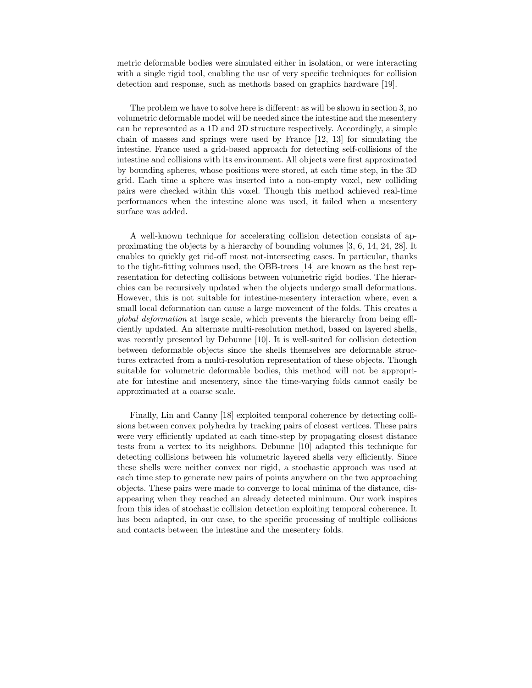metric deformable bodies were simulated either in isolation, or were interacting with a single rigid tool, enabling the use of very specific techniques for collision detection and response, such as methods based on graphics hardware [19].

The problem we have to solve here is different: as will be shown in section 3, no volumetric deformable model will be needed since the intestine and the mesentery can be represented as a 1D and 2D structure respectively. Accordingly, a simple chain of masses and springs were used by France [12, 13] for simulating the intestine. France used a grid-based approach for detecting self-collisions of the intestine and collisions with its environment. All objects were first approximated by bounding spheres, whose positions were stored, at each time step, in the 3D grid. Each time a sphere was inserted into a non-empty voxel, new colliding pairs were checked within this voxel. Though this method achieved real-time performances when the intestine alone was used, it failed when a mesentery surface was added.

A well-known technique for accelerating collision detection consists of approximating the objects by a hierarchy of bounding volumes [3, 6, 14, 24, 28]. It enables to quickly get rid-off most not-intersecting cases. In particular, thanks to the tight-fitting volumes used, the OBB-trees [14] are known as the best representation for detecting collisions between volumetric rigid bodies. The hierarchies can be recursively updated when the objects undergo small deformations. However, this is not suitable for intestine-mesentery interaction where, even a small local deformation can cause a large movement of the folds. This creates a global deformation at large scale, which prevents the hierarchy from being efficiently updated. An alternate multi-resolution method, based on layered shells, was recently presented by Debunne [10]. It is well-suited for collision detection between deformable objects since the shells themselves are deformable structures extracted from a multi-resolution representation of these objects. Though suitable for volumetric deformable bodies, this method will not be appropriate for intestine and mesentery, since the time-varying folds cannot easily be approximated at a coarse scale.

Finally, Lin and Canny [18] exploited temporal coherence by detecting collisions between convex polyhedra by tracking pairs of closest vertices. These pairs were very efficiently updated at each time-step by propagating closest distance tests from a vertex to its neighbors. Debunne [10] adapted this technique for detecting collisions between his volumetric layered shells very efficiently. Since these shells were neither convex nor rigid, a stochastic approach was used at each time step to generate new pairs of points anywhere on the two approaching objects. These pairs were made to converge to local minima of the distance, disappearing when they reached an already detected minimum. Our work inspires from this idea of stochastic collision detection exploiting temporal coherence. It has been adapted, in our case, to the specific processing of multiple collisions and contacts between the intestine and the mesentery folds.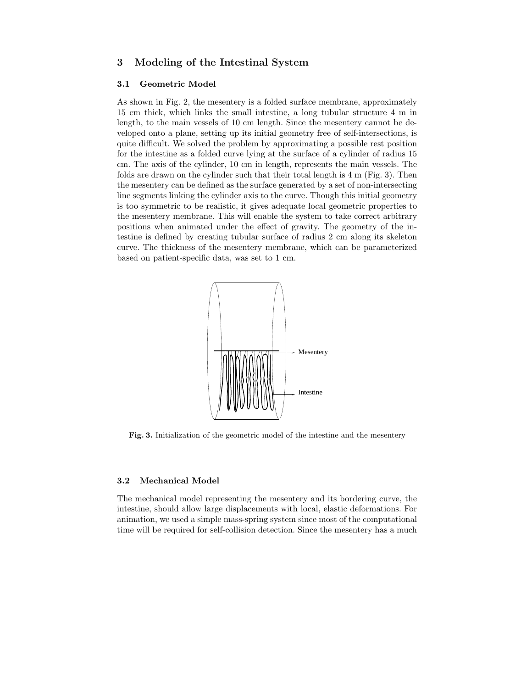## 3 Modeling of the Intestinal System

#### 3.1 Geometric Model

As shown in Fig. 2, the mesentery is a folded surface membrane, approximately 15 cm thick, which links the small intestine, a long tubular structure 4 m in length, to the main vessels of 10 cm length. Since the mesentery cannot be developed onto a plane, setting up its initial geometry free of self-intersections, is quite difficult. We solved the problem by approximating a possible rest position for the intestine as a folded curve lying at the surface of a cylinder of radius 15 cm. The axis of the cylinder, 10 cm in length, represents the main vessels. The folds are drawn on the cylinder such that their total length is 4 m (Fig. 3). Then the mesentery can be defined as the surface generated by a set of non-intersecting line segments linking the cylinder axis to the curve. Though this initial geometry is too symmetric to be realistic, it gives adequate local geometric properties to the mesentery membrane. This will enable the system to take correct arbitrary positions when animated under the effect of gravity. The geometry of the intestine is defined by creating tubular surface of radius 2 cm along its skeleton curve. The thickness of the mesentery membrane, which can be parameterized based on patient-specific data, was set to 1 cm.



Fig. 3. Initialization of the geometric model of the intestine and the mesentery

#### 3.2 Mechanical Model

The mechanical model representing the mesentery and its bordering curve, the intestine, should allow large displacements with local, elastic deformations. For animation, we used a simple mass-spring system since most of the computational time will be required for self-collision detection. Since the mesentery has a much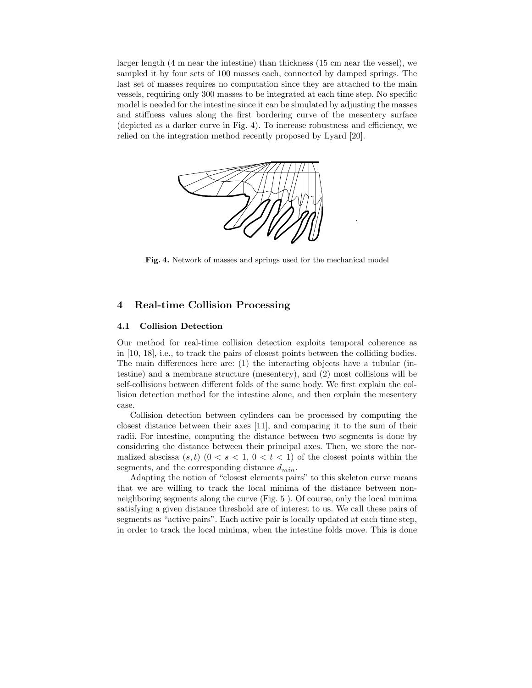larger length (4 m near the intestine) than thickness (15 cm near the vessel), we sampled it by four sets of 100 masses each, connected by damped springs. The last set of masses requires no computation since they are attached to the main vessels, requiring only 300 masses to be integrated at each time step. No specific model is needed for the intestine since it can be simulated by adjusting the masses and stiffness values along the first bordering curve of the mesentery surface (depicted as a darker curve in Fig. 4). To increase robustness and efficiency, we relied on the integration method recently proposed by Lyard [20].



Fig. 4. Network of masses and springs used for the mechanical model

## 4 Real-time Collision Processing

### 4.1 Collision Detection

Our method for real-time collision detection exploits temporal coherence as in [10, 18], i.e., to track the pairs of closest points between the colliding bodies. The main differences here are: (1) the interacting objects have a tubular (intestine) and a membrane structure (mesentery), and (2) most collisions will be self-collisions between different folds of the same body. We first explain the collision detection method for the intestine alone, and then explain the mesentery case.

Collision detection between cylinders can be processed by computing the closest distance between their axes [11], and comparing it to the sum of their radii. For intestine, computing the distance between two segments is done by considering the distance between their principal axes. Then, we store the normalized abscissa  $(s,t)$   $(0 < s < 1, 0 < t < 1)$  of the closest points within the segments, and the corresponding distance  $d_{min}$ .

Adapting the notion of "closest elements pairs" to this skeleton curve means that we are willing to track the local minima of the distance between nonneighboring segments along the curve (Fig. 5 ). Of course, only the local minima satisfying a given distance threshold are of interest to us. We call these pairs of segments as "active pairs". Each active pair is locally updated at each time step, in order to track the local minima, when the intestine folds move. This is done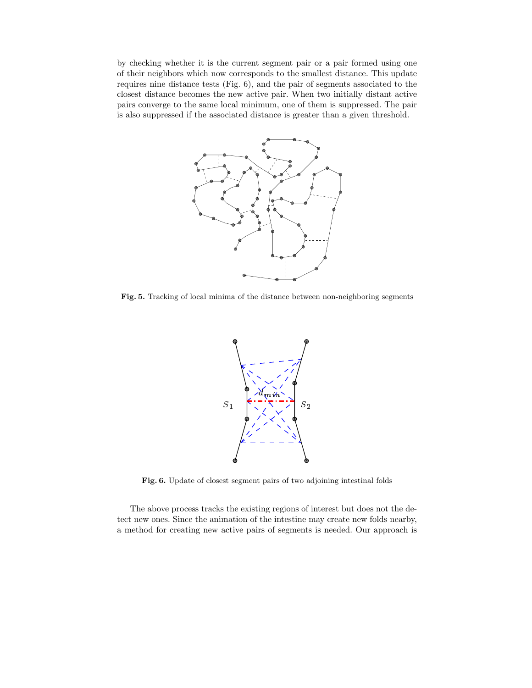by checking whether it is the current segment pair or a pair formed using one of their neighbors which now corresponds to the smallest distance. This update requires nine distance tests (Fig. 6), and the pair of segments associated to the closest distance becomes the new active pair. When two initially distant active pairs converge to the same local minimum, one of them is suppressed. The pair is also suppressed if the associated distance is greater than a given threshold.



Fig. 5. Tracking of local minima of the distance between non-neighboring segments



Fig. 6. Update of closest segment pairs of two adjoining intestinal folds

The above process tracks the existing regions of interest but does not the detect new ones. Since the animation of the intestine may create new folds nearby, a method for creating new active pairs of segments is needed. Our approach is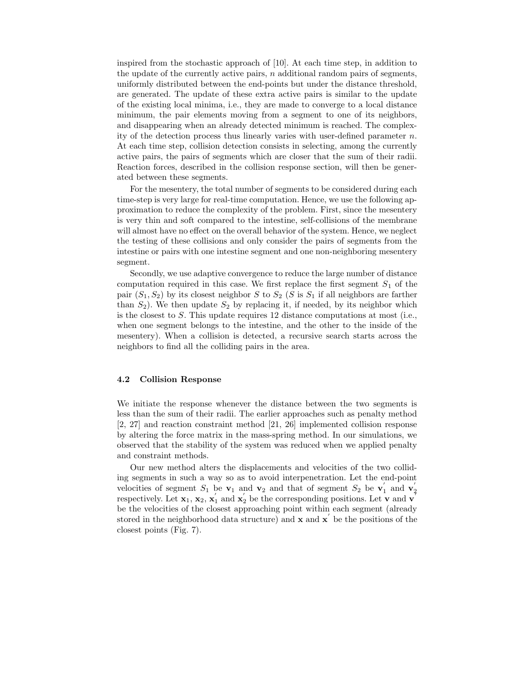inspired from the stochastic approach of [10]. At each time step, in addition to the update of the currently active pairs,  $n$  additional random pairs of segments, uniformly distributed between the end-points but under the distance threshold, are generated. The update of these extra active pairs is similar to the update of the existing local minima, i.e., they are made to converge to a local distance minimum, the pair elements moving from a segment to one of its neighbors, and disappearing when an already detected minimum is reached. The complexity of the detection process thus linearly varies with user-defined parameter  $n$ . At each time step, collision detection consists in selecting, among the currently active pairs, the pairs of segments which are closer that the sum of their radii. Reaction forces, described in the collision response section, will then be generated between these segments.

For the mesentery, the total number of segments to be considered during each time-step is very large for real-time computation. Hence, we use the following approximation to reduce the complexity of the problem. First, since the mesentery is very thin and soft compared to the intestine, self-collisions of the membrane will almost have no effect on the overall behavior of the system. Hence, we neglect the testing of these collisions and only consider the pairs of segments from the intestine or pairs with one intestine segment and one non-neighboring mesentery segment.

Secondly, we use adaptive convergence to reduce the large number of distance computation required in this case. We first replace the first segment  $S_1$  of the pair  $(S_1, S_2)$  by its closest neighbor S to  $S_2$  (S is  $S_1$  if all neighbors are farther than  $S_2$ ). We then update  $S_2$  by replacing it, if needed, by its neighbor which is the closest to S. This update requires 12 distance computations at most (i.e., when one segment belongs to the intestine, and the other to the inside of the mesentery). When a collision is detected, a recursive search starts across the neighbors to find all the colliding pairs in the area.

#### 4.2 Collision Response

We initiate the response whenever the distance between the two segments is less than the sum of their radii. The earlier approaches such as penalty method [2, 27] and reaction constraint method [21, 26] implemented collision response by altering the force matrix in the mass-spring method. In our simulations, we observed that the stability of the system was reduced when we applied penalty and constraint methods.

Our new method alters the displacements and velocities of the two colliding segments in such a way so as to avoid interpenetration. Let the end-point velocities of segment  $S_1$  be  $\mathbf{v}_1$  and  $\mathbf{v}_2$  and that of segment  $S_2$  be  $\mathbf{v}_1'$  and  $\mathbf{v}_2'$ respectively. Let  $\mathbf{x}_1, \mathbf{x}_2, \mathbf{x}_1'$  and  $\mathbf{x}_2'$  be the corresponding positions. Let  $\mathbf{v}$  and  $\mathbf{v}'$ be the velocities of the closest approaching point within each segment (already stored in the neighborhood data structure) and  $\mathbf x$  and  $\mathbf x'$  be the positions of the closest points (Fig. 7).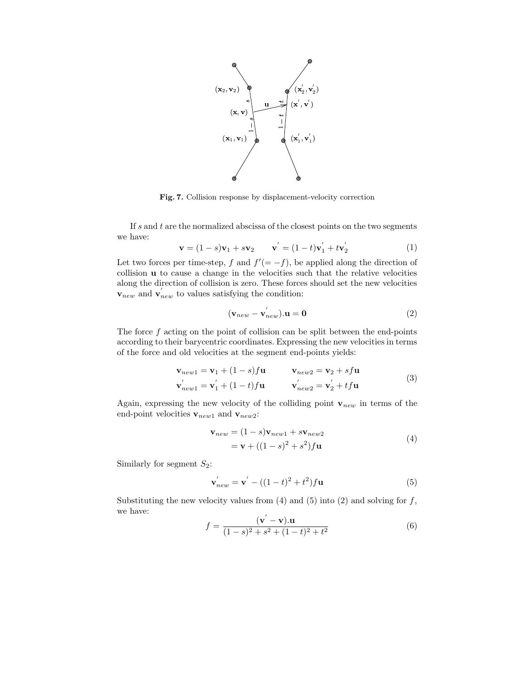

Fig. 7. Collision response by displacement-velocity correction

If s and t are the normalized abscissa of the closest points on the two segments we have:

$$
\mathbf{v} = (1 - s)\mathbf{v}_1 + s\mathbf{v}_2 \qquad \mathbf{v}' = (1 - t)\mathbf{v}'_1 + t\mathbf{v}'_2 \tag{1}
$$

Let two forces per time-step, f and  $f' (= -f)$ , be applied along the direction of collision u to cause a change in the velocities such that the relative velocities along the direction of collision is zero. These forces should set the new velocities  $v_{new}$  and  $v'_{new}$  to values satisfying the condition:

$$
(\mathbf{v}_{new} - \mathbf{v}'_{new}) \cdot \mathbf{u} = \mathbf{0}
$$
 (2)

The force  $f$  acting on the point of collision can be split between the end-points according to their barycentric coordinates. Expressing the new velocities in terms of the force and old velocities at the segment end-points yields:

$$
\mathbf{v}_{new1} = \mathbf{v}_1 + (1 - s)f\mathbf{u} \qquad \mathbf{v}_{new2} = \mathbf{v}_2 + s f\mathbf{u}
$$
  

$$
\mathbf{v}'_{new1} = \mathbf{v}'_1 + (1 - t)f\mathbf{u} \qquad \mathbf{v}'_{new2} = \mathbf{v}'_2 + t f\mathbf{u}
$$
 (3)

Again, expressing the new velocity of the colliding point  $v_{new}$  in terms of the end-point velocities  $\mathbf{v}_{new1}$  and  $\mathbf{v}_{new2}\mathbf{:}$ 

$$
\mathbf{v}_{new} = (1 - s)\mathbf{v}_{new1} + s\mathbf{v}_{new2}
$$
  
=  $\mathbf{v} + ((1 - s)^2 + s^2)f\mathbf{u}$  (4)

Similarly for segment  $S_2$ :

$$
\mathbf{v}'_{new} = \mathbf{v}' - ((1 - t)^2 + t^2)f\mathbf{u}
$$
 (5)

Substituting the new velocity values from  $(4)$  and  $(5)$  into  $(2)$  and solving for f, we have:

$$
f = \frac{(\mathbf{v}' - \mathbf{v}) \cdot \mathbf{u}}{(1 - s)^2 + s^2 + (1 - t)^2 + t^2}
$$
(6)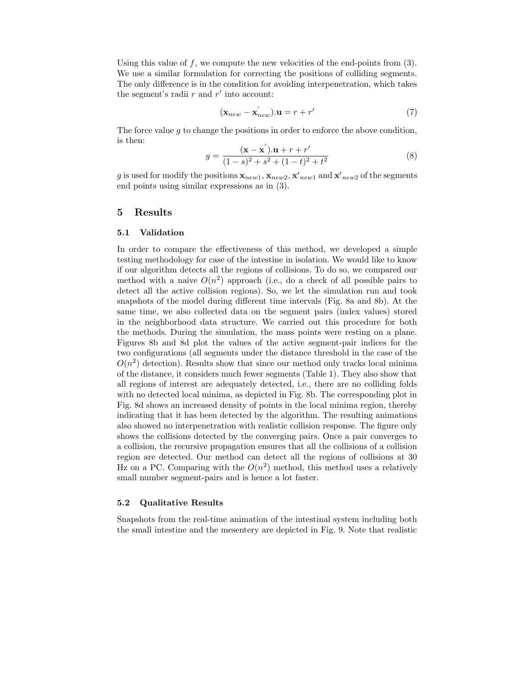Using this value of  $f$ , we compute the new velocities of the end-points from  $(3)$ . We use a similar formulation for correcting the positions of colliding segments. The only difference is in the condition for avoiding interpenetration, which takes the segment's radii  $r$  and  $r'$  into account:

$$
(\mathbf{x}_{new} - \mathbf{x}_{new}^{'}) \cdot \mathbf{u} = r + r' \tag{7}
$$

The force value q to change the positions in order to enforce the above condition, is then:

$$
g = \frac{(\mathbf{x} - \mathbf{x}^{'}) \cdot \mathbf{u} + r + r'}{(1 - s)^2 + s^2 + (1 - t)^2 + t^2}
$$
(8)

g is used for modify the positions  $\mathbf{x}_{new1}, \mathbf{x}_{new2}, \mathbf{x}'_{new1}$  and  $\mathbf{x}'_{new2}$  of the segments end points using similar expressions as in (3).

## 5 Results

#### 5.1 Validation

In order to compare the effectiveness of this method, we developed a simple testing methodology for case of the intestine in isolation. We would like to know if our algorithm detects all the regions of collisions. To do so, we compared our method with a naive  $O(n^2)$  approach (i.e., do a check of all possible pairs to detect all the active collision regions). So, we let the simulation run and took snapshots of the model during different time intervals (Fig. 8a and 8b). At the same time, we also collected data on the segment pairs (index values) stored in the neighborhood data structure. We carried out this procedure for both the methods. During the simulation, the mass points were resting on a plane. Figures 8b and 8d plot the values of the active segment-pair indices for the two configurations (all segments under the distance threshold in the case of the  $O(n^2)$  detection). Results show that since our method only tracks local minima of the distance, it considers much fewer segments (Table 1). They also show that all regions of interest are adequately detected, i.e., there are no colliding folds with no detected local minima, as depicted in Fig. 8b. The corresponding plot in Fig. 8d shows an increased density of points in the local minima region, thereby indicating that it has been detected by the algorithm. The resulting animations also showed no interpenetration with realistic collision response. The figure only shows the collisions detected by the converging pairs. Once a pair converges to a collision, the recursive propagation ensures that all the collisions of a collision region are detected. Our method can detect all the regions of collisions at 30 Hz on a PC. Comparing with the  $O(n^2)$  method, this method uses a relatively small number segment-pairs and is hence a lot faster.

## 5.2 Qualitative Results

Snapshots from the real-time animation of the intestinal system including both the small intestine and the mesentery are depicted in Fig. 9. Note that realistic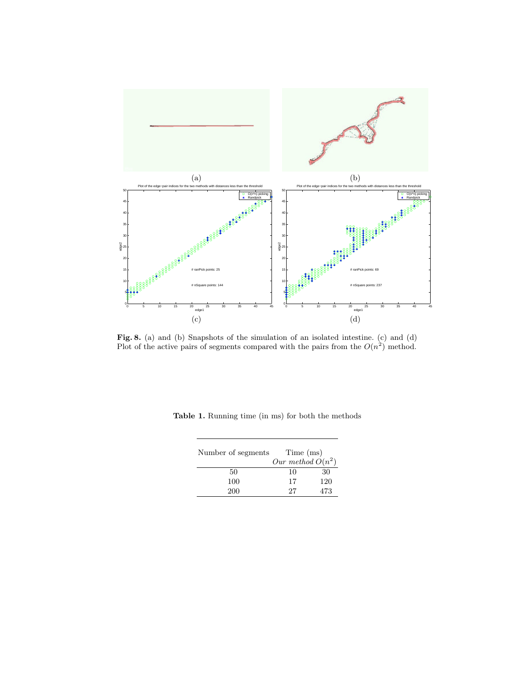

Fig. 8. (a) and (b) Snapshots of the simulation of an isolated intestine. (c) and (d) Plot of the active pairs of segments compared with the pairs from the  $O(n^2)$  method.

| Number of segments | Time (ms)<br>Our method $O(n^2)$ |     |
|--------------------|----------------------------------|-----|
| 50                 | 10                               | 30  |
| 100                | 17                               | 120 |
| 200                | 27                               | 473 |

Table 1. Running time (in ms) for both the methods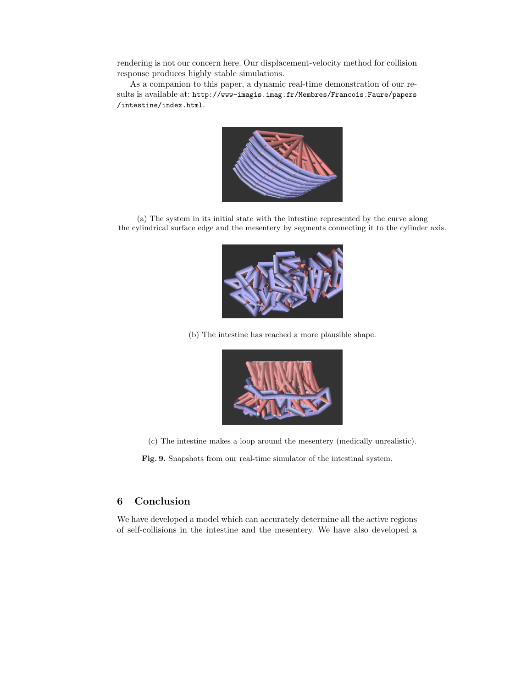rendering is not our concern here. Our displacement-velocity method for collision response produces highly stable simulations.

As a companion to this paper, a dynamic real-time demonstration of our results is available at: http://www-imagis.imag.fr/Membres/Francois.Faure/papers /intestine/index.html.



(a) The system in its initial state with the intestine represented by the curve along the cylindrical surface edge and the mesentery by segments connecting it to the cylinder axis.



(b) The intestine has reached a more plausible shape.



(c) The intestine makes a loop around the mesentery (medically unrealistic).

Fig. 9. Snapshots from our real-time simulator of the intestinal system.

## 6 Conclusion

We have developed a model which can accurately determine all the active regions of self-collisions in the intestine and the mesentery. We have also developed a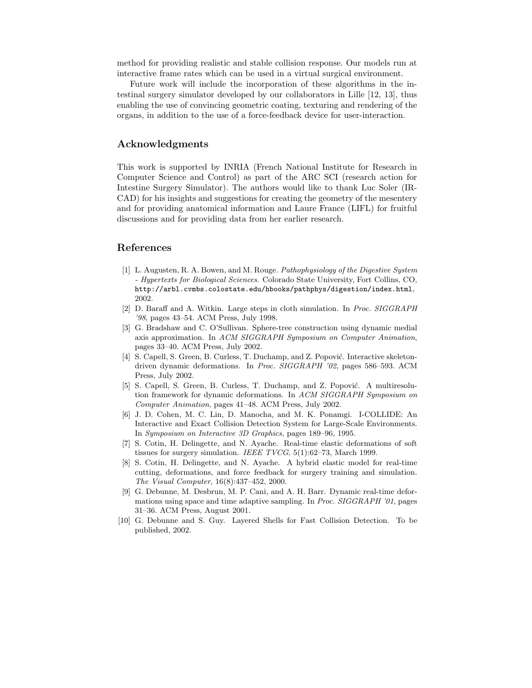method for providing realistic and stable collision response. Our models run at interactive frame rates which can be used in a virtual surgical environment.

Future work will include the incorporation of these algorithms in the intestinal surgery simulator developed by our collaborators in Lille [12, 13], thus enabling the use of convincing geometric coating, texturing and rendering of the organs, in addition to the use of a force-feedback device for user-interaction.

## Acknowledgments

This work is supported by INRIA (French National Institute for Research in Computer Science and Control) as part of the ARC SCI (research action for Intestine Surgery Simulator). The authors would like to thank Luc Soler (IR-CAD) for his insights and suggestions for creating the geometry of the mesentery and for providing anatomical information and Laure France (LIFL) for fruitful discussions and for providing data from her earlier research.

## References

- [1] L. Augusten, R. A. Bowen, and M. Rouge. Pathophysiology of the Digestive System - Hypertexts for Biological Sciences. Colorado State University, Fort Collins, CO, http://arbl.cvmbs.colostate.edu/hbooks/pathphys/digestion/index.html, 2002.
- [2] D. Baraff and A. Witkin. Large steps in cloth simulation. In Proc. SIGGRAPH '98, pages 43–54. ACM Press, July 1998.
- [3] G. Bradshaw and C. O'Sullivan. Sphere-tree construction using dynamic medial axis approximation. In ACM SIGGRAPH Symposium on Computer Animation, pages 33–40. ACM Press, July 2002.
- [4] S. Capell, S. Green, B. Curless, T. Duchamp, and Z. Popović. Interactive skeletondriven dynamic deformations. In Proc. SIGGRAPH '02, pages 586–593. ACM Press, July 2002.
- [5] S. Capell, S. Green, B. Curless, T. Duchamp, and Z. Popović. A multiresolution framework for dynamic deformations. In ACM SIGGRAPH Symposium on Computer Animation, pages 41–48. ACM Press, July 2002.
- [6] J. D. Cohen, M. C. Lin, D. Manocha, and M. K. Ponamgi. I-COLLIDE: An Interactive and Exact Collision Detection System for Large-Scale Environments. In Symposium on Interactive 3D Graphics, pages 189–96, 1995.
- [7] S. Cotin, H. Delingette, and N. Ayache. Real-time elastic deformations of soft tissues for surgery simulation. IEEE TVCG, 5(1):62-73, March 1999.
- [8] S. Cotin, H. Delingette, and N. Ayache. A hybrid elastic model for real-time cutting, deformations, and force feedback for surgery training and simulation. The Visual Computer, 16(8):437–452, 2000.
- [9] G. Debunne, M. Desbrun, M. P. Cani, and A. H. Barr. Dynamic real-time deformations using space and time adaptive sampling. In Proc. SIGGRAPH '01, pages 31–36. ACM Press, August 2001.
- [10] G. Debunne and S. Guy. Layered Shells for Fast Collision Detection. To be published, 2002.